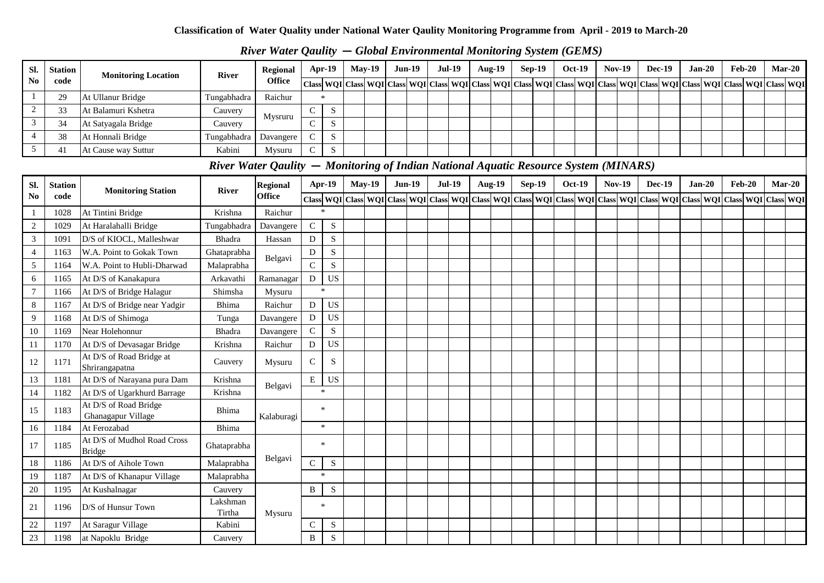# *River Water Qaulity* **—** *Global Environmental Monitoring System (GEMS)*

| SI.            | <b>Station</b> | <b>Monitoring Location</b> | <b>River</b>                                                                         | Regional        |             | <b>Apr-19</b> | $Mav-19$                                                                                                                                                                                                                      | $Jun-19$ | <b>Jul-19</b> | Aug- $19$     | $Sep-19$ | <b>Oct-19</b> | <b>Nov-19</b> | <b>Dec-19</b> | $Jan-20$ | $Feb-20$ | $Mar-20$ |  |
|----------------|----------------|----------------------------|--------------------------------------------------------------------------------------|-----------------|-------------|---------------|-------------------------------------------------------------------------------------------------------------------------------------------------------------------------------------------------------------------------------|----------|---------------|---------------|----------|---------------|---------------|---------------|----------|----------|----------|--|
| N <sub>0</sub> | code           |                            |                                                                                      | <b>Office</b>   |             |               | Class   WQI   Class   WQI   Class   WQI   Class   WQI   Class   WQI   Class   WQI   Class   WQI   Class   WQI   Class   WQI   Class   WQI   Class   WQI   Class   WQI   Class   WQI   Class   WQI   Class   WQI   Class   WQI |          |               |               |          |               |               |               |          |          |          |  |
|                | 29             | At Ullanur Bridge          | Tungabhadra                                                                          | Raichur         | $*$         |               |                                                                                                                                                                                                                               |          |               |               |          |               |               |               |          |          |          |  |
|                | 33             | At Balamuri Kshetra        | Cauvery                                                                              | Mysruru         | $\sim$<br>◡ | S             |                                                                                                                                                                                                                               |          |               |               |          |               |               |               |          |          |          |  |
| $\overline{3}$ | 34             | At Satyagala Bridge        | Cauvery                                                                              |                 | $\sim$      | <sub>S</sub>  |                                                                                                                                                                                                                               |          |               |               |          |               |               |               |          |          |          |  |
|                | 38             | At Honnali Bridge          | Tungabhadra                                                                          | Davangere       | $\sim$      | S             |                                                                                                                                                                                                                               |          |               |               |          |               |               |               |          |          |          |  |
|                | 41             | At Cause way Suttur        | Kabini                                                                               | Mysuru          | $\sim$<br>U | <sub>S</sub>  |                                                                                                                                                                                                                               |          |               |               |          |               |               |               |          |          |          |  |
|                |                |                            | River Water Qaulity – Monitoring of Indian National Aquatic Resource System (MINARS) |                 |             |               |                                                                                                                                                                                                                               |          |               |               |          |               |               |               |          |          |          |  |
| SI.            | <b>Station</b> | <b>Monitoring Station</b>  | <b>River</b>                                                                         | <b>Regional</b> |             | $Apr-19$      | $Mav-19$                                                                                                                                                                                                                      | $Jun-19$ | <b>Jul-19</b> | <b>Aug-19</b> | $Sep-19$ | <b>Oct-19</b> | <b>Nov-19</b> | <b>Dec-19</b> | $Jan-20$ | $Feb-20$ | $Mar-20$ |  |
| N <sub>0</sub> | code           |                            |                                                                                      | <b>Office</b>   |             |               | Class  WQI   Class  WQI   Class  WQI   Class  WQI   Class  WQI   Class  WQI   Class  WQI   Class  WQI   Class  WQI   Class  WQI   Class  WQI   Class  WQI   Class  WQI   Class  WQI   Class  WQI   Class  WQI   Class  WQI    |          |               |               |          |               |               |               |          |          |          |  |
|                | 1028           | At Tintini Bridge          | Krishna                                                                              | Raichur         | 冰           |               |                                                                                                                                                                                                                               |          |               |               |          |               |               |               |          |          |          |  |
|                | 1029           | At Haralahalli Bridge      | Tungabhadra                                                                          | Davangere       | $\sim$      | S             |                                                                                                                                                                                                                               |          |               |               |          |               |               |               |          |          |          |  |
|                | 109.           | D/S of KIOCL, Malleshwar   | <b>Bhadra</b>                                                                        | Hassan          | D           | S.            |                                                                                                                                                                                                                               |          |               |               |          |               |               |               |          |          |          |  |
|                |                |                            |                                                                                      |                 |             |               |                                                                                                                                                                                                                               |          |               |               |          |               |               |               |          |          |          |  |

| SI.                    | <b>Station</b> | <b>Monitoring Station</b>                    | <b>River</b>       | <b>Regional</b> |               | <b>Apr-19</b>              | <b>May-19</b>                                                                                                                                                                                                                 | $Jun-19$ | <b>Jul-19</b> |  | <b>Aug-19</b> | <b>Sep-19</b> | Oct-19 | <b>Nov-19</b> | <b>Dec-19</b> | $Jan-20$ | <b>Feb-20</b> | $Mar-20$ |  |
|------------------------|----------------|----------------------------------------------|--------------------|-----------------|---------------|----------------------------|-------------------------------------------------------------------------------------------------------------------------------------------------------------------------------------------------------------------------------|----------|---------------|--|---------------|---------------|--------|---------------|---------------|----------|---------------|----------|--|
| $\mathbf{N}\mathbf{0}$ | code           |                                              |                    | <b>Office</b>   |               |                            | Class   WQI   Class   WQI   Class   WQI   Class   WQI   Class   WQI   Class   WQI   Class   WQI   Class   WQI   Class   WQI   Class   WQI   Class   WQI   Class   WQI   Class   WQI   Class   WQI   Class   WQI   Class   WQI |          |               |  |               |               |        |               |               |          |               |          |  |
|                        | 1028           | At Tintini Bridge                            | Krishna            | Raichur         |               |                            |                                                                                                                                                                                                                               |          |               |  |               |               |        |               |               |          |               |          |  |
| $\sqrt{2}$             | 1029           | At Haralahalli Bridge                        | Tungabhadra        | Davangere       | $\mathcal{C}$ | ${\bf S}$                  |                                                                                                                                                                                                                               |          |               |  |               |               |        |               |               |          |               |          |  |
| $\mathfrak{Z}$         | 1091           | D/S of KIOCL, Malleshwar                     | Bhadra             | Hassan          | D             | ${\bf S}$                  |                                                                                                                                                                                                                               |          |               |  |               |               |        |               |               |          |               |          |  |
| $\overline{4}$         | 1163           | W.A. Point to Gokak Town                     | Ghataprabha        | Belgavi         | D             | S                          |                                                                                                                                                                                                                               |          |               |  |               |               |        |               |               |          |               |          |  |
| 5                      | 1164           | W.A. Point to Hubli-Dharwad                  | Malaprabha         |                 | $\mathcal{C}$ | ${\bf S}$                  |                                                                                                                                                                                                                               |          |               |  |               |               |        |               |               |          |               |          |  |
| 6                      | 1165           | At D/S of Kanakapura                         | Arkavathi          | Ramanagar       | D             | $\boldsymbol{\mathsf{US}}$ |                                                                                                                                                                                                                               |          |               |  |               |               |        |               |               |          |               |          |  |
| $\tau$                 | 1166           | At D/S of Bridge Halagur                     | Shimsha            | Mysuru          |               | $\mathcal{R}$              |                                                                                                                                                                                                                               |          |               |  |               |               |        |               |               |          |               |          |  |
| $8\,$                  | 1167           | At D/S of Bridge near Yadgir                 | Bhima              | Raichur         | D             | <b>US</b>                  |                                                                                                                                                                                                                               |          |               |  |               |               |        |               |               |          |               |          |  |
| 9                      | 1168           | At D/S of Shimoga                            | Tunga              | Davangere       | D             | <b>US</b>                  |                                                                                                                                                                                                                               |          |               |  |               |               |        |               |               |          |               |          |  |
| 10                     | 1169           | Near Holehonnur                              | Bhadra             | Davangere       | $\mathcal{C}$ | ${\bf S}$                  |                                                                                                                                                                                                                               |          |               |  |               |               |        |               |               |          |               |          |  |
| 11                     | 1170           | At D/S of Devasagar Bridge                   | Krishna            | Raichur         | D             | $\boldsymbol{\mathsf{US}}$ |                                                                                                                                                                                                                               |          |               |  |               |               |        |               |               |          |               |          |  |
| 12                     | 1171           | At D/S of Road Bridge at<br>Shrirangapatna   | Cauvery            | Mysuru          | $\mathsf{C}$  | S                          |                                                                                                                                                                                                                               |          |               |  |               |               |        |               |               |          |               |          |  |
| 13                     | 1181           | At D/S of Narayana pura Dam                  | Krishna            | Belgavi         | E             | <b>US</b>                  |                                                                                                                                                                                                                               |          |               |  |               |               |        |               |               |          |               |          |  |
| 14                     | 1182           | At D/S of Ugarkhurd Barrage                  | Krishna            |                 |               | $\mathbf{x}$               |                                                                                                                                                                                                                               |          |               |  |               |               |        |               |               |          |               |          |  |
| 15                     | 1183           | At D/S of Road Bridge<br>Ghanagapur Village  | Bhima              | Kalaburagi      |               | $\star$                    |                                                                                                                                                                                                                               |          |               |  |               |               |        |               |               |          |               |          |  |
| 16                     | 1184           | At Ferozabad                                 | Bhima              |                 |               | $\ast$                     |                                                                                                                                                                                                                               |          |               |  |               |               |        |               |               |          |               |          |  |
| 17                     | 1185           | At D/S of Mudhol Road Cross<br><b>Bridge</b> | Ghataprabha        |                 |               | $\star$                    |                                                                                                                                                                                                                               |          |               |  |               |               |        |               |               |          |               |          |  |
| 18                     | 1186           | At D/S of Aihole Town                        | Malaprabha         | Belgavi         | C             | S                          |                                                                                                                                                                                                                               |          |               |  |               |               |        |               |               |          |               |          |  |
| 19                     | 1187           | At D/S of Khanapur Village                   | Malaprabha         |                 |               | $\star$                    |                                                                                                                                                                                                                               |          |               |  |               |               |        |               |               |          |               |          |  |
| 20                     | 1195           | At Kushalnagar                               | Cauvery            |                 | B             | S                          |                                                                                                                                                                                                                               |          |               |  |               |               |        |               |               |          |               |          |  |
| 21                     | 1196           | D/S of Hunsur Town                           | Lakshman<br>Tirtha | Mysuru          |               | $\ast$                     |                                                                                                                                                                                                                               |          |               |  |               |               |        |               |               |          |               |          |  |
| $22\,$                 | 1197           | At Saragur Village                           | Kabini             |                 | C             | S                          |                                                                                                                                                                                                                               |          |               |  |               |               |        |               |               |          |               |          |  |
| 23                     | 1198           | at Napoklu Bridge                            | Cauvery            |                 | B             | S                          |                                                                                                                                                                                                                               |          |               |  |               |               |        |               |               |          |               |          |  |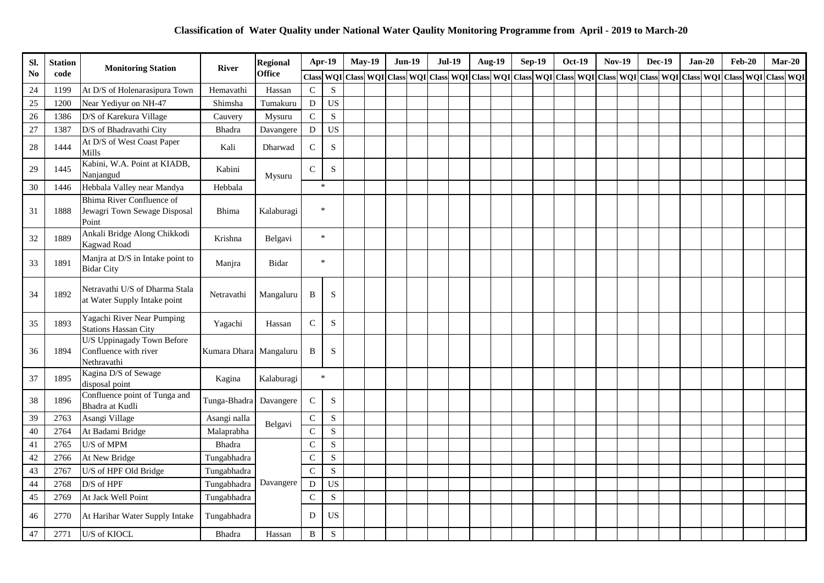| Sl.            | <b>Station</b> | <b>Monitoring Station</b>                                          | <b>River</b>           | <b>Regional</b> |               | Apr-19      | <b>May-19</b>                                                                                                                                                   | <b>Jun-19</b> | <b>Jul-19</b> |  | <b>Aug-19</b> | <b>Sep-19</b> | <b>Oct-19</b> | <b>Nov-19</b> | <b>Dec-19</b> |  | $Jan-20$ | <b>Feb-20</b> | $Mar-20$ |
|----------------|----------------|--------------------------------------------------------------------|------------------------|-----------------|---------------|-------------|-----------------------------------------------------------------------------------------------------------------------------------------------------------------|---------------|---------------|--|---------------|---------------|---------------|---------------|---------------|--|----------|---------------|----------|
| N <sub>0</sub> | code           |                                                                    |                        | <b>Office</b>   |               |             | Class WQI Class WQI Class WQI Class WQI Class WQI Class WQI Class WQI Class WQI Class WQI Class WQI Class WQI Class WQI Class WQI Class WQI Class WQI Class WQI |               |               |  |               |               |               |               |               |  |          |               |          |
| 24             | 1199           | At D/S of Holenarasipura Town                                      | Hemavathi              | Hassan          | $\mathbf C$   | S           |                                                                                                                                                                 |               |               |  |               |               |               |               |               |  |          |               |          |
| 25             | 1200           | Near Yediyur on NH-47                                              | Shimsha                | Tumakuru        | $\mathbf D$   | <b>US</b>   |                                                                                                                                                                 |               |               |  |               |               |               |               |               |  |          |               |          |
| 26             | 1386           | D/S of Karekura Village                                            | Cauvery                | Mysuru          | $\mathbf C$   | $\mathbf S$ |                                                                                                                                                                 |               |               |  |               |               |               |               |               |  |          |               |          |
| 27             | 1387           | D/S of Bhadravathi City                                            | <b>Bhadra</b>          | Davangere       | ${\bf D}$     | <b>US</b>   |                                                                                                                                                                 |               |               |  |               |               |               |               |               |  |          |               |          |
| 28             | 1444           | At D/S of West Coast Paper<br>Mills                                | Kali                   | Dharwad         | $\mathbf C$   | ${\bf S}$   |                                                                                                                                                                 |               |               |  |               |               |               |               |               |  |          |               |          |
| 29             | 1445           | Kabini, W.A. Point at KIADB,<br>Nanjangud                          | Kabini                 | Mysuru          | $\mathsf C$   | $\mathbf S$ |                                                                                                                                                                 |               |               |  |               |               |               |               |               |  |          |               |          |
| 30             | 1446           | Hebbala Valley near Mandya                                         | Hebbala                |                 | $\ast$        |             |                                                                                                                                                                 |               |               |  |               |               |               |               |               |  |          |               |          |
| 31             | 1888           | Bhima River Confluence of<br>Jewagri Town Sewage Disposal<br>Point | <b>Bhima</b>           | Kalaburagi      | $\ast$        |             |                                                                                                                                                                 |               |               |  |               |               |               |               |               |  |          |               |          |
| 32             | 1889           | Ankali Bridge Along Chikkodi<br><b>Kagwad Road</b>                 | Krishna                | Belgavi         |               | $\star$     |                                                                                                                                                                 |               |               |  |               |               |               |               |               |  |          |               |          |
| 33             | 1891           | Manjra at D/S in Intake point to<br><b>Bidar City</b>              | Manjra                 | Bidar           | $\ast$        |             |                                                                                                                                                                 |               |               |  |               |               |               |               |               |  |          |               |          |
| 34             | 1892           | Netravathi U/S of Dharma Stala<br>at Water Supply Intake point     | Netravathi             | Mangaluru       | B             | S           |                                                                                                                                                                 |               |               |  |               |               |               |               |               |  |          |               |          |
| 35             | 1893           | Yagachi River Near Pumping<br><b>Stations Hassan City</b>          | Yagachi                | Hassan          | $\mathsf C$   | $\mathbf S$ |                                                                                                                                                                 |               |               |  |               |               |               |               |               |  |          |               |          |
| 36             | 1894           | U/S Uppinagady Town Before<br>Confluence with river<br>Nethravathi | Kumara Dhara Mangaluru |                 | B             | S           |                                                                                                                                                                 |               |               |  |               |               |               |               |               |  |          |               |          |
| 37             | 1895           | Kagina D/S of Sewage<br>disposal point                             | Kagina                 | Kalaburagi      |               | $\star$     |                                                                                                                                                                 |               |               |  |               |               |               |               |               |  |          |               |          |
| 38             | 1896           | Confluence point of Tunga and<br>Bhadra at Kudli                   | Tunga-Bhadra           | Davangere       | $\mathbf C$   | ${\bf S}$   |                                                                                                                                                                 |               |               |  |               |               |               |               |               |  |          |               |          |
| 39             | 2763           | Asangi Village                                                     | Asangi nalla           | Belgavi         | $\mathbf C$   | ${\bf S}$   |                                                                                                                                                                 |               |               |  |               |               |               |               |               |  |          |               |          |
| 40             | 2764           | At Badami Bridge                                                   | Malaprabha             |                 | $\mathbf C$   | $\mathbf S$ |                                                                                                                                                                 |               |               |  |               |               |               |               |               |  |          |               |          |
| 41             | 2765           | U/S of MPM                                                         | <b>Bhadra</b>          |                 | $\mathcal{C}$ | $\mathbf S$ |                                                                                                                                                                 |               |               |  |               |               |               |               |               |  |          |               |          |
| 42             | 2766           | At New Bridge                                                      | Tungabhadra            |                 | $\mathcal{C}$ | $\mathbf S$ |                                                                                                                                                                 |               |               |  |               |               |               |               |               |  |          |               |          |
| 43             | 2767           | U/S of HPF Old Bridge                                              | Tungabhadra            |                 | $\mathcal{C}$ | $\mathbf S$ |                                                                                                                                                                 |               |               |  |               |               |               |               |               |  |          |               |          |
| 44             | 2768           | $D/S$ of $HPF$                                                     | Tungabhadra            | Davangere       | D             | <b>US</b>   |                                                                                                                                                                 |               |               |  |               |               |               |               |               |  |          |               |          |
| 45             | 2769           | At Jack Well Point                                                 | Tungabhadra            |                 | $\mathbf C$   | ${\bf S}$   |                                                                                                                                                                 |               |               |  |               |               |               |               |               |  |          |               |          |
| 46             | 2770           | At Harihar Water Supply Intake                                     | Tungabhadra            |                 | D             | <b>US</b>   |                                                                                                                                                                 |               |               |  |               |               |               |               |               |  |          |               |          |
| 47             | 2771           | U/S of KIOCL                                                       | <b>Bhadra</b>          | Hassan          | $\, {\bf B}$  | ${\bf S}$   |                                                                                                                                                                 |               |               |  |               |               |               |               |               |  |          |               |          |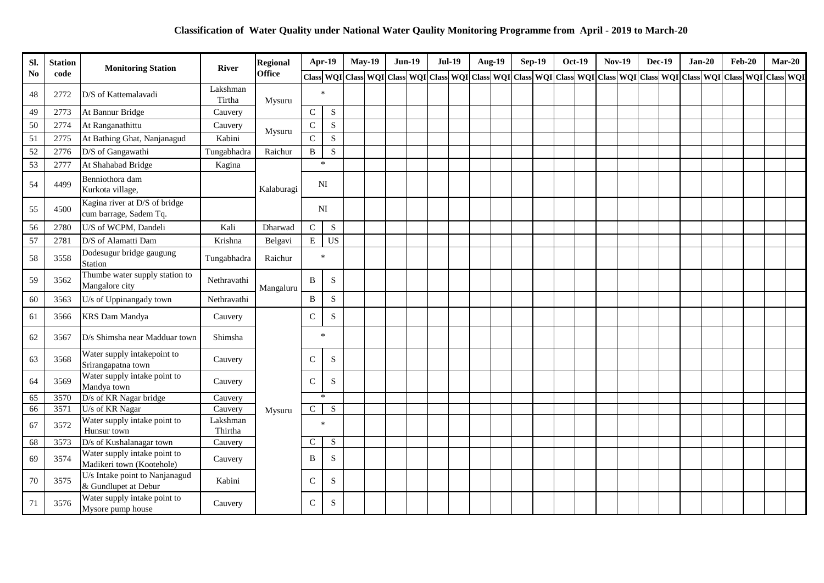| Sl.            | <b>Station</b> | <b>Monitoring Station</b>                                 | <b>River</b>        | <b>Regional</b> |               | Apr-19       | <b>May-19</b>                                                                                                                                                                                                                  | <b>Jun-19</b> | <b>Jul-19</b> |  | Aug-19 | <b>Sep-19</b> | <b>Oct-19</b> | <b>Nov-19</b> | <b>Dec-19</b> | $Jan-20$ | <b>Feb-20</b> | $Mar-20$ |  |
|----------------|----------------|-----------------------------------------------------------|---------------------|-----------------|---------------|--------------|--------------------------------------------------------------------------------------------------------------------------------------------------------------------------------------------------------------------------------|---------------|---------------|--|--------|---------------|---------------|---------------|---------------|----------|---------------|----------|--|
| N <sub>o</sub> | code           |                                                           |                     | <b>Office</b>   |               |              | Class WQI Class WQI Class WQI Class WQI Class WQI Class WQI Class WQI Class WQI Class WQI Class WQI Class WQI Class WQI Class WQI Class WQI Class WQI Class WQI Class WQI Class WQI Class WQI Class WQI Class WQI Class WQI Cl |               |               |  |        |               |               |               |               |          |               |          |  |
| 48             | 2772           | D/S of Kattemalavadi                                      | Lakshman<br>Tirtha  | Mysuru          |               | $\ast$       |                                                                                                                                                                                                                                |               |               |  |        |               |               |               |               |          |               |          |  |
| 49             | 2773           | At Bannur Bridge                                          | Cauvery             |                 | $\mathbf C$   | $\mathbf S$  |                                                                                                                                                                                                                                |               |               |  |        |               |               |               |               |          |               |          |  |
| 50             | 2774           | At Ranganathittu                                          | Cauvery             | Mysuru          | $\mathbf C$   | ${\bf S}$    |                                                                                                                                                                                                                                |               |               |  |        |               |               |               |               |          |               |          |  |
| 51             | 2775           | At Bathing Ghat, Nanjanagud                               | Kabini              |                 | $\mathbf C$   | $\mathbf S$  |                                                                                                                                                                                                                                |               |               |  |        |               |               |               |               |          |               |          |  |
| 52             | 2776           | D/S of Gangawathi                                         | Tungabhadra         | Raichur         | $\, {\bf B}$  | $\mathbf S$  |                                                                                                                                                                                                                                |               |               |  |        |               |               |               |               |          |               |          |  |
| 53             | 2777           | At Shahabad Bridge                                        | Kagina              |                 |               | $\ast$       |                                                                                                                                                                                                                                |               |               |  |        |               |               |               |               |          |               |          |  |
| 54             | 4499           | Benniothora dam<br>Kurkota village,                       |                     | Kalaburagi      |               | NI           |                                                                                                                                                                                                                                |               |               |  |        |               |               |               |               |          |               |          |  |
| 55             | 4500           | Kagina river at D/S of bridge<br>cum barrage, Sadem Tq.   |                     |                 |               | NI           |                                                                                                                                                                                                                                |               |               |  |        |               |               |               |               |          |               |          |  |
| 56             | 2780           | U/S of WCPM, Dandeli                                      | Kali                | Dharwad         | $\mathbf C$   | ${\bf S}$    |                                                                                                                                                                                                                                |               |               |  |        |               |               |               |               |          |               |          |  |
| 57             | 2781           | D/S of Alamatti Dam                                       | Krishna             | Belgavi         | ${\bf E}$     | <b>US</b>    |                                                                                                                                                                                                                                |               |               |  |        |               |               |               |               |          |               |          |  |
| 58             | 3558           | Dodesugur bridge gaugung<br>Station                       | Tungabhadra         | Raichur         |               | $\ast$       |                                                                                                                                                                                                                                |               |               |  |        |               |               |               |               |          |               |          |  |
| 59             | 3562           | Thumbe water supply station to<br>Mangalore city          | Nethravathi         | Mangaluru       | B             | S            |                                                                                                                                                                                                                                |               |               |  |        |               |               |               |               |          |               |          |  |
| 60             | 3563           | U/s of Uppinangady town                                   | Nethravathi         |                 | $\, {\bf B}$  | ${\bf S}$    |                                                                                                                                                                                                                                |               |               |  |        |               |               |               |               |          |               |          |  |
| 61             | 3566           | <b>KRS</b> Dam Mandya                                     | Cauvery             |                 | $\mathbf C$   | S            |                                                                                                                                                                                                                                |               |               |  |        |               |               |               |               |          |               |          |  |
| 62             | 3567           | D/s Shimsha near Madduar town                             | Shimsha             |                 |               | $\star$      |                                                                                                                                                                                                                                |               |               |  |        |               |               |               |               |          |               |          |  |
| 63             | 3568           | Water supply intakepoint to<br>Srirangapatna town         | Cauvery             |                 | $\mathsf{C}$  | ${\bf S}$    |                                                                                                                                                                                                                                |               |               |  |        |               |               |               |               |          |               |          |  |
| 64             | 3569           | Water supply intake point to<br>Mandya town               | Cauvery             |                 | $\mathsf{C}$  | S            |                                                                                                                                                                                                                                |               |               |  |        |               |               |               |               |          |               |          |  |
| 65             | 3570           | D/s of KR Nagar bridge                                    | Cauvery             |                 |               | $\mathbf{x}$ |                                                                                                                                                                                                                                |               |               |  |        |               |               |               |               |          |               |          |  |
| 66             | 3571           | U/s of KR Nagar                                           | Cauvery             | Mysuru          | $\mathsf{C}$  | ${\bf S}$    |                                                                                                                                                                                                                                |               |               |  |        |               |               |               |               |          |               |          |  |
| 67             | 3572           | Water supply intake point to<br>Hunsur town               | Lakshman<br>Thirtha |                 |               | $\ast$       |                                                                                                                                                                                                                                |               |               |  |        |               |               |               |               |          |               |          |  |
| 68             | 3573           | D/s of Kushalanagar town                                  | Cauvery             |                 | $\mathsf{C}$  | ${\bf S}$    |                                                                                                                                                                                                                                |               |               |  |        |               |               |               |               |          |               |          |  |
| 69             | 3574           | Water supply intake point to<br>Madikeri town (Kootehole) | Cauvery             |                 | B             | S            |                                                                                                                                                                                                                                |               |               |  |        |               |               |               |               |          |               |          |  |
| 70             | 3575           | U/s Intake point to Nanjanagud<br>& Gundlupet at Debur    | Kabini              |                 | $\mathcal{C}$ | S            |                                                                                                                                                                                                                                |               |               |  |        |               |               |               |               |          |               |          |  |
| 71             | 3576           | Water supply intake point to<br>Mysore pump house         | Cauvery             |                 | $\mathcal{C}$ | S            |                                                                                                                                                                                                                                |               |               |  |        |               |               |               |               |          |               |          |  |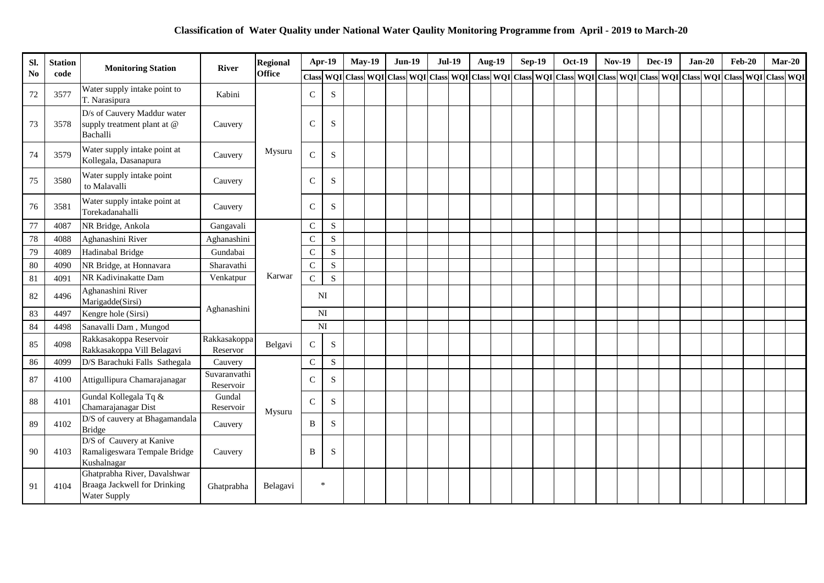| SI.            | <b>Station</b> | <b>Monitoring Station</b>                                                    | <b>River</b>              | <b>Regional</b> |                | Apr-19      | <b>May-19</b>                                                                                                                                                                                                                 | <b>Jun-19</b> | <b>Jul-19</b> |  | <b>Aug-19</b> | <b>Sep-19</b> | <b>Oct-19</b> | <b>Nov-19</b> | <b>Dec-19</b> |  | $Jan-20$ | $Feb-20$ | $Mar-20$ |  |
|----------------|----------------|------------------------------------------------------------------------------|---------------------------|-----------------|----------------|-------------|-------------------------------------------------------------------------------------------------------------------------------------------------------------------------------------------------------------------------------|---------------|---------------|--|---------------|---------------|---------------|---------------|---------------|--|----------|----------|----------|--|
| N <sub>o</sub> | code           |                                                                              |                           | <b>Office</b>   |                |             | Class   WQI   Class   WQI   Class   WQI   Class   WQI   Class   WQI   Class   WQI   Class   WQI   Class   WQI   Class   WQI   Class   WQI   Class   WQI   Class   WQI   Class   WQI   Class   WQI   Class   WQI   Class   WQI |               |               |  |               |               |               |               |               |  |          |          |          |  |
| $72\,$         | 3577           | Water supply intake point to<br>T. Narasipura                                | Kabini                    |                 | $\mathcal{C}$  | S           |                                                                                                                                                                                                                               |               |               |  |               |               |               |               |               |  |          |          |          |  |
| 73             | 3578           | D/s of Cauvery Maddur water<br>supply treatment plant at @<br>Bachalli       | Cauvery                   |                 | $\mathcal{C}$  | S           |                                                                                                                                                                                                                               |               |               |  |               |               |               |               |               |  |          |          |          |  |
| 74             | 3579           | Water supply intake point at<br>Kollegala, Dasanapura                        | Cauvery                   | Mysuru          | C              | S           |                                                                                                                                                                                                                               |               |               |  |               |               |               |               |               |  |          |          |          |  |
| 75             | 3580           | Water supply intake point<br>to Malavalli                                    | Cauvery                   |                 | $\mathcal{C}$  | S           |                                                                                                                                                                                                                               |               |               |  |               |               |               |               |               |  |          |          |          |  |
| 76             | 3581           | Water supply intake point at<br>Torekadanahalli                              | Cauvery                   |                 | $\mathsf{C}$   | S           |                                                                                                                                                                                                                               |               |               |  |               |               |               |               |               |  |          |          |          |  |
| 77             | 4087           | NR Bridge, Ankola                                                            | Gangavali                 |                 | $\mathsf{C}$   | S           |                                                                                                                                                                                                                               |               |               |  |               |               |               |               |               |  |          |          |          |  |
| $78\,$         | 4088           | Aghanashini River                                                            | Aghanashini               |                 | $\mathsf{C}$   | ${\bf S}$   |                                                                                                                                                                                                                               |               |               |  |               |               |               |               |               |  |          |          |          |  |
| 79             | 4089           | Hadinabal Bridge                                                             | Gundabai                  |                 | $\mathcal{C}$  | S           |                                                                                                                                                                                                                               |               |               |  |               |               |               |               |               |  |          |          |          |  |
| 80             | 4090           | NR Bridge, at Honnavara                                                      | Sharavathi                |                 | $\mathcal{C}$  | $\mathbf S$ |                                                                                                                                                                                                                               |               |               |  |               |               |               |               |               |  |          |          |          |  |
| 81             | 4091           | NR Kadivinakatte Dam                                                         | Venkatpur                 | Karwar          | $\mathbf C$    | S           |                                                                                                                                                                                                                               |               |               |  |               |               |               |               |               |  |          |          |          |  |
| 82             | 4496           | Aghanashini River<br>Marigadde(Sirsi)                                        |                           |                 |                | NI          |                                                                                                                                                                                                                               |               |               |  |               |               |               |               |               |  |          |          |          |  |
| 83             | 4497           | Kengre hole (Sirsi)                                                          | Aghanashini               |                 | N <sub>I</sub> |             |                                                                                                                                                                                                                               |               |               |  |               |               |               |               |               |  |          |          |          |  |
| 84             | 4498           | Sanavalli Dam, Mungod                                                        |                           |                 | NI             |             |                                                                                                                                                                                                                               |               |               |  |               |               |               |               |               |  |          |          |          |  |
| 85             | 4098           | Rakkasakoppa Reservoir<br>Rakkasakoppa Vill Belagavi                         | Rakkasakoppa<br>Reservor  | Belgavi         | ${\bf C}$      | S           |                                                                                                                                                                                                                               |               |               |  |               |               |               |               |               |  |          |          |          |  |
| 86             | 4099           | D/S Barachuki Falls Sathegala                                                | Cauvery                   |                 | $\mathsf{C}$   | ${\bf S}$   |                                                                                                                                                                                                                               |               |               |  |               |               |               |               |               |  |          |          |          |  |
| 87             | 4100           | Attigullipura Chamarajanagar                                                 | Suvaranvathi<br>Reservoir |                 | $\mathsf{C}$   | S           |                                                                                                                                                                                                                               |               |               |  |               |               |               |               |               |  |          |          |          |  |
| 88             | 4101           | Gundal Kollegala Tq &<br>Chamarajanagar Dist                                 | Gundal<br>Reservoir       | Mysuru          | $\mathsf{C}$   | S           |                                                                                                                                                                                                                               |               |               |  |               |               |               |               |               |  |          |          |          |  |
| 89             | 4102           | D/S of cauvery at Bhagamandala<br><b>Bridge</b>                              | Cauvery                   |                 | B              | S           |                                                                                                                                                                                                                               |               |               |  |               |               |               |               |               |  |          |          |          |  |
| 90             | 4103           | D/S of Cauvery at Kanive<br>Ramaligeswara Tempale Bridge<br>Kushalnagar      | Cauvery                   |                 | B              | S           |                                                                                                                                                                                                                               |               |               |  |               |               |               |               |               |  |          |          |          |  |
| 91             | 4104           | Ghatprabha River, Davalshwar<br>Braaga Jackwell for Drinking<br>Water Supply | Ghatprabha                | Belagavi        | $\ast$         |             |                                                                                                                                                                                                                               |               |               |  |               |               |               |               |               |  |          |          |          |  |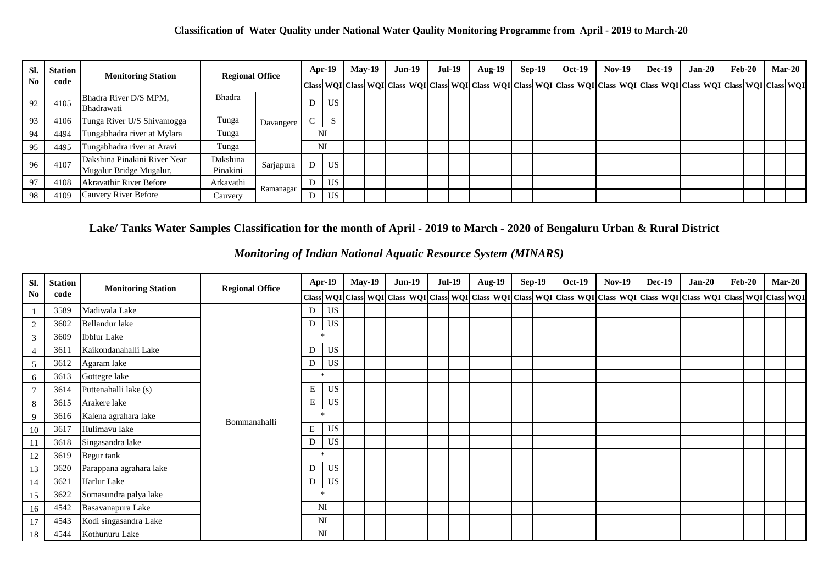| SI. | Station | <b>Monitoring Station</b>                               | <b>Regional Office</b> |           |             | $Apr-19$  | <b>May-19</b> |                                                                                                                                                            | <b>Jun-19</b> | <b>Jul-19</b> |  | Aug-19 | <b>Sep-19</b> | <b>Oct-19</b> | $Nov-19$ |  | $Dec-19$ | $Jan-20$ | $Feb-20$ |  | <b>Mar-20</b> |
|-----|---------|---------------------------------------------------------|------------------------|-----------|-------------|-----------|---------------|------------------------------------------------------------------------------------------------------------------------------------------------------------|---------------|---------------|--|--------|---------------|---------------|----------|--|----------|----------|----------|--|---------------|
| No  | code    |                                                         |                        |           |             |           |               | Class  WQI  Class  WQI  Class  WQI  Class  WQI  Class  WQI  Class  WQI  Class  WQI  Class  WQI  Class  WQI  Class  WQI  Class  WQI  Class  WQI  Class  WQI |               |               |  |        |               |               |          |  |          |          |          |  |               |
| 92  | 4105    | Bhadra River D/S MPM,<br>Bhadrawati                     | <b>Bhadra</b>          |           | υ           | US        |               |                                                                                                                                                            |               |               |  |        |               |               |          |  |          |          |          |  |               |
| 93  | 4106    | Tunga River U/S Shivamogga                              | Tunga                  | Davangere | $\sim$<br>◡ | ъ.        |               |                                                                                                                                                            |               |               |  |        |               |               |          |  |          |          |          |  |               |
| 94  | 4494    | Tungabhadra river at Mylara                             | Tunga                  |           | NI          |           |               |                                                                                                                                                            |               |               |  |        |               |               |          |  |          |          |          |  |               |
| 95  | 4495    | Tungabhadra river at Aravi                              | Tunga                  |           | NI          |           |               |                                                                                                                                                            |               |               |  |        |               |               |          |  |          |          |          |  |               |
| 96  | 4107    | Dakshina Pinakini River Near<br>Mugalur Bridge Mugalur, | Dakshina<br>Pinakini   | Sarjapura | D           | <b>US</b> |               |                                                                                                                                                            |               |               |  |        |               |               |          |  |          |          |          |  |               |
| 97  | 4108    | <b>Akravathir River Before</b>                          | Arkavathi              |           | D           | <b>US</b> |               |                                                                                                                                                            |               |               |  |        |               |               |          |  |          |          |          |  |               |
| 98  | 4109    | Cauvery River Before                                    | Cauvery                | Ramanagar | D           | US        |               |                                                                                                                                                            |               |               |  |        |               |               |          |  |          |          |          |  |               |

## **Lake/ Tanks Water Samples Classification for the month of April - 2019 to March - 2020 of Bengaluru Urban & Rural District**

| SI.             | <b>Station</b> | <b>Monitoring Station</b> | <b>Regional Office</b> |           | <b>Apr-19</b> | <b>May-19</b> | $Jun-19$ | <b>Jul-19</b> | <b>Aug-19</b>                                                                                                                                                                                                                  |  | <b>Sep-19</b> | <b>Oct-19</b> | <b>Nov-19</b> | <b>Dec-19</b> | $Jan-20$ | $\mathbf{Feb-20}$ |  | <b>Mar-20</b> |
|-----------------|----------------|---------------------------|------------------------|-----------|---------------|---------------|----------|---------------|--------------------------------------------------------------------------------------------------------------------------------------------------------------------------------------------------------------------------------|--|---------------|---------------|---------------|---------------|----------|-------------------|--|---------------|
| No              | code           |                           |                        |           |               |               |          |               | Class WQI Class WQI Class WQI Class WQI Class WQI Class WQI Class WQI Class WQI Class WQI Class WQI Class WQI Class WQI Class WQI Class WQI Class WQI Class WQI Class WQI Class WQI Class WQI Class WQI Class WQI Class WQI Cl |  |               |               |               |               |          |                   |  |               |
| $\mathbf{1}$    | 3589           | Madiwala Lake             |                        | D         | US            |               |          |               |                                                                                                                                                                                                                                |  |               |               |               |               |          |                   |  |               |
| 2               | 3602           | Bellandur lake            |                        | D         | <b>US</b>     |               |          |               |                                                                                                                                                                                                                                |  |               |               |               |               |          |                   |  |               |
| 3               | 3609           | <b>Ibblur</b> Lake        |                        | $\star$   |               |               |          |               |                                                                                                                                                                                                                                |  |               |               |               |               |          |                   |  |               |
| $\overline{4}$  | 3611           | Kaikondanahalli Lake      |                        | D         | <b>US</b>     |               |          |               |                                                                                                                                                                                                                                |  |               |               |               |               |          |                   |  |               |
| $5\overline{)}$ | 3612           | Agaram lake               |                        | D         | <b>US</b>     |               |          |               |                                                                                                                                                                                                                                |  |               |               |               |               |          |                   |  |               |
| 6               | 3613           | Gottegre lake             |                        | $\star$   |               |               |          |               |                                                                                                                                                                                                                                |  |               |               |               |               |          |                   |  |               |
| $\overline{7}$  | 3614           | Puttenahalli lake (s)     |                        | E         | <b>US</b>     |               |          |               |                                                                                                                                                                                                                                |  |               |               |               |               |          |                   |  |               |
| 8               | 3615           | Arakere lake              |                        | E         | <b>US</b>     |               |          |               |                                                                                                                                                                                                                                |  |               |               |               |               |          |                   |  |               |
| 9               | 3616           | Kalena agrahara lake      | Bommanahalli           | $\star$   |               |               |          |               |                                                                                                                                                                                                                                |  |               |               |               |               |          |                   |  |               |
| 10              | 3617           | Hulimavu lake             |                        | E         | <b>US</b>     |               |          |               |                                                                                                                                                                                                                                |  |               |               |               |               |          |                   |  |               |
| 11              | 3618           | Singasandra lake          |                        | D         | <b>US</b>     |               |          |               |                                                                                                                                                                                                                                |  |               |               |               |               |          |                   |  |               |
| 12              | 3619           | Begur tank                |                        | $\ast$    |               |               |          |               |                                                                                                                                                                                                                                |  |               |               |               |               |          |                   |  |               |
| 13              | 3620           | Parappana agrahara lake   |                        | D         | <b>US</b>     |               |          |               |                                                                                                                                                                                                                                |  |               |               |               |               |          |                   |  |               |
| 14              | 3621           | Harlur Lake               |                        | D         | <b>US</b>     |               |          |               |                                                                                                                                                                                                                                |  |               |               |               |               |          |                   |  |               |
| 15              | 3622           | Somasundra palya lake     |                        | $\ast$    |               |               |          |               |                                                                                                                                                                                                                                |  |               |               |               |               |          |                   |  |               |
| 16              | 4542           | Basavanapura Lake         |                        | <b>NI</b> |               |               |          |               |                                                                                                                                                                                                                                |  |               |               |               |               |          |                   |  |               |
| 17              | 4543           | Kodi singasandra Lake     |                        | <b>NI</b> |               |               |          |               |                                                                                                                                                                                                                                |  |               |               |               |               |          |                   |  |               |
| 18              | 4544           | Kothunuru Lake            |                        | NI        |               |               |          |               |                                                                                                                                                                                                                                |  |               |               |               |               |          |                   |  |               |

*Monitoring of Indian National Aquatic Resource System (MINARS)*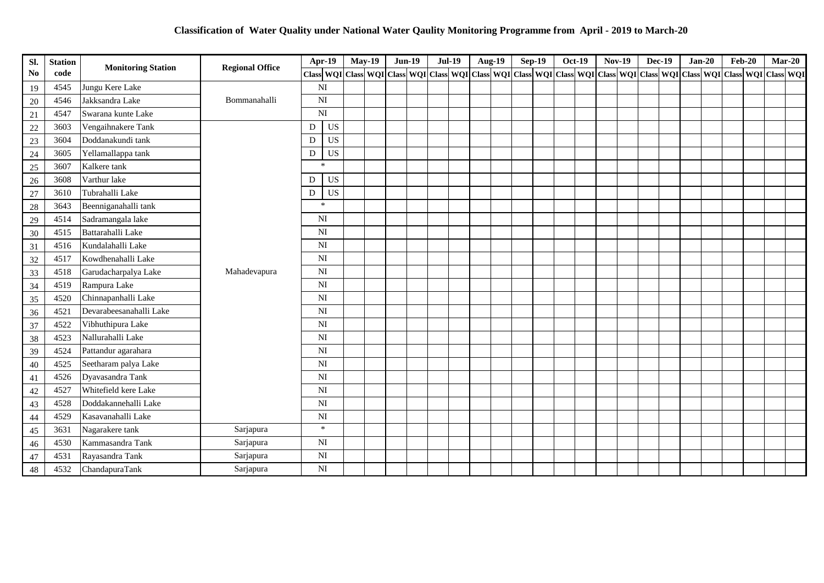| SI.            | <b>Station</b> | <b>Monitoring Station</b> | <b>Regional Office</b> | Apr-19                 | <b>May-19</b>                                                                                                                                                                       | <b>Jun-19</b> | <b>Jul-19</b> | <b>Aug-19</b> |  | $Sep-19$ | <b>Oct-19</b> | <b>Nov-19</b> | <b>Dec-19</b> | $Jan-20$ | $Feb-20$ | $Mar-20$ |  |
|----------------|----------------|---------------------------|------------------------|------------------------|-------------------------------------------------------------------------------------------------------------------------------------------------------------------------------------|---------------|---------------|---------------|--|----------|---------------|---------------|---------------|----------|----------|----------|--|
| N <sub>0</sub> | code           |                           |                        |                        | Class   WQI   Class   WQI   Class   WQI   Class   WQI   Class   WQI   Class   WQI   Class   WQI   Class   WQI   Class   WQI   Class   WQI   Class   WQI   Class   WQI   Class   WQI |               |               |               |  |          |               |               |               |          |          |          |  |
| 19             | 4545           | Jungu Kere Lake           |                        | NI                     |                                                                                                                                                                                     |               |               |               |  |          |               |               |               |          |          |          |  |
| $20\,$         | 4546           | Jakksandra Lake           | Bommanahalli           | NI                     |                                                                                                                                                                                     |               |               |               |  |          |               |               |               |          |          |          |  |
| $21\,$         | 4547           | Swarana kunte Lake        |                        | NI                     |                                                                                                                                                                                     |               |               |               |  |          |               |               |               |          |          |          |  |
| 22             | 3603           | Vengaihnakere Tank        |                        | <b>US</b><br>D         |                                                                                                                                                                                     |               |               |               |  |          |               |               |               |          |          |          |  |
| 23             | 3604           | Doddanakundi tank         |                        | <b>US</b><br>D         |                                                                                                                                                                                     |               |               |               |  |          |               |               |               |          |          |          |  |
| 24             | 3605           | Yellamallappa tank        |                        | <b>US</b><br>D         |                                                                                                                                                                                     |               |               |               |  |          |               |               |               |          |          |          |  |
| $25\,$         | 3607           | Kalkere tank              |                        | $\star$                |                                                                                                                                                                                     |               |               |               |  |          |               |               |               |          |          |          |  |
| 26             | 3608           | Varthur lake              |                        | <b>US</b><br>D         |                                                                                                                                                                                     |               |               |               |  |          |               |               |               |          |          |          |  |
| $27\,$         | 3610           | Tubrahalli Lake           |                        | <b>US</b><br>D         |                                                                                                                                                                                     |               |               |               |  |          |               |               |               |          |          |          |  |
| 28             | 3643           | Beenniganahalli tank      |                        | $\star$                |                                                                                                                                                                                     |               |               |               |  |          |               |               |               |          |          |          |  |
| 29             | 4514           | Sadramangala lake         |                        | NI                     |                                                                                                                                                                                     |               |               |               |  |          |               |               |               |          |          |          |  |
| 30             | 4515           | Battarahalli Lake         |                        | N <sub>I</sub>         |                                                                                                                                                                                     |               |               |               |  |          |               |               |               |          |          |          |  |
| 31             | 4516           | Kundalahalli Lake         |                        | NI                     |                                                                                                                                                                                     |               |               |               |  |          |               |               |               |          |          |          |  |
| 32             | 4517           | Kowdhenahalli Lake        |                        | NI                     |                                                                                                                                                                                     |               |               |               |  |          |               |               |               |          |          |          |  |
| 33             | 4518           | Garudacharpalya Lake      | Mahadevapura           | N <sub>I</sub>         |                                                                                                                                                                                     |               |               |               |  |          |               |               |               |          |          |          |  |
| 34             | 4519           | Rampura Lake              |                        | NI                     |                                                                                                                                                                                     |               |               |               |  |          |               |               |               |          |          |          |  |
| 35             | 4520           | Chinnapanhalli Lake       |                        | NI                     |                                                                                                                                                                                     |               |               |               |  |          |               |               |               |          |          |          |  |
| 36             | 4521           | Devarabeesanahalli Lake   |                        | NI                     |                                                                                                                                                                                     |               |               |               |  |          |               |               |               |          |          |          |  |
| 37             | 4522           | Vibhuthipura Lake         |                        | NI                     |                                                                                                                                                                                     |               |               |               |  |          |               |               |               |          |          |          |  |
| 38             | 4523           | Nallurahalli Lake         |                        | NI                     |                                                                                                                                                                                     |               |               |               |  |          |               |               |               |          |          |          |  |
| 39             | 4524           | Pattandur agarahara       |                        | N <sub>I</sub>         |                                                                                                                                                                                     |               |               |               |  |          |               |               |               |          |          |          |  |
| 40             | 4525           | Seetharam palya Lake      |                        | N <sub>I</sub>         |                                                                                                                                                                                     |               |               |               |  |          |               |               |               |          |          |          |  |
| 41             | 4526           | Dyavasandra Tank          |                        | N <sub>I</sub>         |                                                                                                                                                                                     |               |               |               |  |          |               |               |               |          |          |          |  |
| 42             | 4527           | Whitefield kere Lake      |                        | $\mathbf{N}\mathbf{I}$ |                                                                                                                                                                                     |               |               |               |  |          |               |               |               |          |          |          |  |
| 43             | 4528           | Doddakannehalli Lake      |                        | NI                     |                                                                                                                                                                                     |               |               |               |  |          |               |               |               |          |          |          |  |
| 44             | 4529           | Kasavanahalli Lake        |                        | NI                     |                                                                                                                                                                                     |               |               |               |  |          |               |               |               |          |          |          |  |
| 45             | 3631           | Nagarakere tank           | Sarjapura              | $\ast$                 |                                                                                                                                                                                     |               |               |               |  |          |               |               |               |          |          |          |  |
| 46             | 4530           | Kammasandra Tank          | Sarjapura              | NI                     |                                                                                                                                                                                     |               |               |               |  |          |               |               |               |          |          |          |  |
| 47             | 4531           | Rayasandra Tank           | Sarjapura              | NI                     |                                                                                                                                                                                     |               |               |               |  |          |               |               |               |          |          |          |  |
| 48             | 4532           | ChandapuraTank            | Sarjapura              | NI                     |                                                                                                                                                                                     |               |               |               |  |          |               |               |               |          |          |          |  |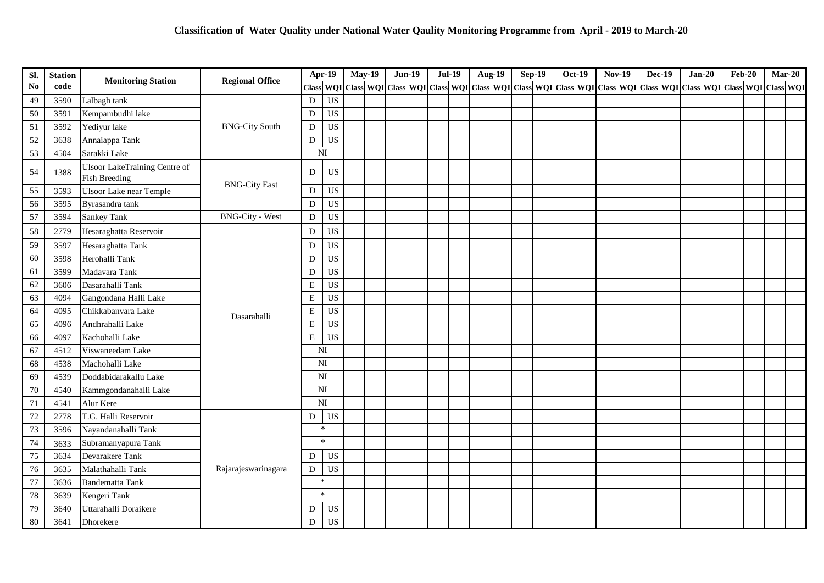| SI.            | <b>Station</b> |                                                              |                        |                | Apr-19                     | <b>May-19</b> | $Jun-19$ | <b>Jul-19</b> |  | <b>Aug-19</b> | <b>Sep-19</b> | <b>Oct-19</b> | <b>Nov-19</b> | <b>Dec-19</b> | $Jan-20$ |  | $Feb-20$                                                                                                                                                                                                                           | $Mar-20$ |  |
|----------------|----------------|--------------------------------------------------------------|------------------------|----------------|----------------------------|---------------|----------|---------------|--|---------------|---------------|---------------|---------------|---------------|----------|--|------------------------------------------------------------------------------------------------------------------------------------------------------------------------------------------------------------------------------------|----------|--|
| N <sub>0</sub> | code           | <b>Monitoring Station</b>                                    | <b>Regional Office</b> | <b>Class</b>   | <b>WOI</b>                 |               |          |               |  |               |               |               |               |               |          |  | $ \text{Class} $ WQI $ \text{Class} $ WQI $ \text{Class} $ WQI $ \text{Class} $ WQI $ \text{Class} $ WQI $ \text{Class} $ WQI $ \text{Class} $ WQI $ \text{Class} $ WQI $ \text{Class} $ WQI $ \text{Class} $ WQI $ \text{Class} $ |          |  |
| 49             | 3590           | Lalbagh tank                                                 |                        | D              | <b>US</b>                  |               |          |               |  |               |               |               |               |               |          |  |                                                                                                                                                                                                                                    |          |  |
| 50             | 3591           | Kempambudhi lake                                             |                        | D              | <b>US</b>                  |               |          |               |  |               |               |               |               |               |          |  |                                                                                                                                                                                                                                    |          |  |
| 51             | 3592           | Yediyur lake                                                 | <b>BNG-City South</b>  | D              | <b>US</b>                  |               |          |               |  |               |               |               |               |               |          |  |                                                                                                                                                                                                                                    |          |  |
| 52             | 3638           | Annaiappa Tank                                               |                        | D              | <b>US</b>                  |               |          |               |  |               |               |               |               |               |          |  |                                                                                                                                                                                                                                    |          |  |
| 53             | 4504           | Sarakki Lake                                                 |                        |                | NI                         |               |          |               |  |               |               |               |               |               |          |  |                                                                                                                                                                                                                                    |          |  |
| 54             | 1388           | <b>Ulsoor LakeTraining Centre of</b><br><b>Fish Breeding</b> | <b>BNG-City East</b>   | D              | <b>US</b>                  |               |          |               |  |               |               |               |               |               |          |  |                                                                                                                                                                                                                                    |          |  |
| 55             | 3593           | <b>Ulsoor Lake near Temple</b>                               |                        | $\mathbf D$    | US                         |               |          |               |  |               |               |               |               |               |          |  |                                                                                                                                                                                                                                    |          |  |
| 56             | 3595           | Byrasandra tank                                              |                        | D              | US                         |               |          |               |  |               |               |               |               |               |          |  |                                                                                                                                                                                                                                    |          |  |
| 57             | 3594           | <b>Sankey Tank</b>                                           | <b>BNG-City - West</b> | D              | <b>US</b>                  |               |          |               |  |               |               |               |               |               |          |  |                                                                                                                                                                                                                                    |          |  |
| 58             | 2779           | Hesaraghatta Reservoir                                       |                        | D              | <b>US</b>                  |               |          |               |  |               |               |               |               |               |          |  |                                                                                                                                                                                                                                    |          |  |
| 59             | 3597           | Hesaraghatta Tank                                            |                        | D              | <b>US</b>                  |               |          |               |  |               |               |               |               |               |          |  |                                                                                                                                                                                                                                    |          |  |
| 60             | 3598           | Herohalli Tank                                               |                        | D              | <b>US</b>                  |               |          |               |  |               |               |               |               |               |          |  |                                                                                                                                                                                                                                    |          |  |
| 61             | 3599           | Madavara Tank                                                |                        | D              | $\boldsymbol{\mathsf{US}}$ |               |          |               |  |               |               |               |               |               |          |  |                                                                                                                                                                                                                                    |          |  |
| 62             | 3606           | Dasarahalli Tank                                             |                        | ${\bf E}$      | <b>US</b>                  |               |          |               |  |               |               |               |               |               |          |  |                                                                                                                                                                                                                                    |          |  |
| 63             | 4094           | Gangondana Halli Lake                                        |                        | $\mathbf E$    | <b>US</b>                  |               |          |               |  |               |               |               |               |               |          |  |                                                                                                                                                                                                                                    |          |  |
| 64             | 4095           | Chikkabanvara Lake                                           | Dasarahalli            | ${\bf E}$      | US                         |               |          |               |  |               |               |               |               |               |          |  |                                                                                                                                                                                                                                    |          |  |
| 65             | 4096           | Andhrahalli Lake                                             |                        | $\mathbf E$    | <b>US</b>                  |               |          |               |  |               |               |               |               |               |          |  |                                                                                                                                                                                                                                    |          |  |
| 66             | 4097           | Kachohalli Lake                                              |                        | ${\bf E}$      | <b>US</b>                  |               |          |               |  |               |               |               |               |               |          |  |                                                                                                                                                                                                                                    |          |  |
| 67             | 4512           | Viswaneedam Lake                                             |                        |                | NI                         |               |          |               |  |               |               |               |               |               |          |  |                                                                                                                                                                                                                                    |          |  |
| 68             | 4538           | Machohalli Lake                                              |                        |                | NI                         |               |          |               |  |               |               |               |               |               |          |  |                                                                                                                                                                                                                                    |          |  |
| 69             | 4539           | Doddabidarakallu Lake                                        |                        | N <sub>I</sub> |                            |               |          |               |  |               |               |               |               |               |          |  |                                                                                                                                                                                                                                    |          |  |
| 70             | 4540           | Kammgondanahalli Lake                                        |                        |                | N <sub>I</sub>             |               |          |               |  |               |               |               |               |               |          |  |                                                                                                                                                                                                                                    |          |  |
| 71             | 4541           | Alur Kere                                                    |                        |                | N <sub>I</sub>             |               |          |               |  |               |               |               |               |               |          |  |                                                                                                                                                                                                                                    |          |  |
| 72             | 2778           | T.G. Halli Reservoir                                         |                        | D              | <b>US</b>                  |               |          |               |  |               |               |               |               |               |          |  |                                                                                                                                                                                                                                    |          |  |
| 73             | 3596           | Nayandanahalli Tank                                          |                        |                | $\ast$                     |               |          |               |  |               |               |               |               |               |          |  |                                                                                                                                                                                                                                    |          |  |
| 74             | 3633           | Subramanyapura Tank                                          |                        |                | $\star$                    |               |          |               |  |               |               |               |               |               |          |  |                                                                                                                                                                                                                                    |          |  |
| 75             | 3634           | Devarakere Tank                                              |                        | D              | <b>US</b>                  |               |          |               |  |               |               |               |               |               |          |  |                                                                                                                                                                                                                                    |          |  |
| 76             | 3635           | Malathahalli Tank                                            | Rajarajeswarinagara    | $\mathbf D$    | <b>US</b>                  |               |          |               |  |               |               |               |               |               |          |  |                                                                                                                                                                                                                                    |          |  |
| 77             | 3636           | <b>Bandematta Tank</b>                                       |                        |                | $\ast$                     |               |          |               |  |               |               |               |               |               |          |  |                                                                                                                                                                                                                                    |          |  |
| 78             | 3639           | Kengeri Tank                                                 |                        |                | $\star$                    |               |          |               |  |               |               |               |               |               |          |  |                                                                                                                                                                                                                                    |          |  |
| 79             | 3640           | Uttarahalli Doraikere                                        |                        | D              | <b>US</b>                  |               |          |               |  |               |               |               |               |               |          |  |                                                                                                                                                                                                                                    |          |  |
| 80             | 3641           | Dhorekere                                                    |                        | ${\bf D}$      | <b>US</b>                  |               |          |               |  |               |               |               |               |               |          |  |                                                                                                                                                                                                                                    |          |  |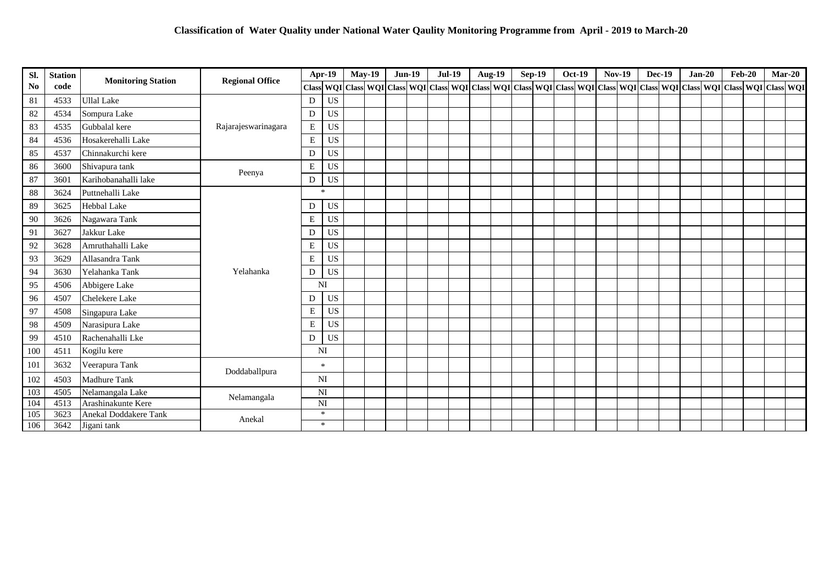| SI.            | <b>Station</b> | <b>Monitoring Station</b> | <b>Regional Office</b> |             | <b>Apr-19</b>              | <b>May-19</b>                                                                                                                                                                                                                  | $Jun-19$ | <b>Jul-19</b> | <b>Aug-19</b> |  | <b>Sep-19</b> | <b>Oct-19</b> | <b>Nov-19</b> | <b>Dec-19</b> | $Jan-20$ | <b>Feb-20</b> | $Mar-20$ |  |
|----------------|----------------|---------------------------|------------------------|-------------|----------------------------|--------------------------------------------------------------------------------------------------------------------------------------------------------------------------------------------------------------------------------|----------|---------------|---------------|--|---------------|---------------|---------------|---------------|----------|---------------|----------|--|
| N <sub>0</sub> | code           |                           |                        |             |                            | Class WQI Class WQI Class WQI Class WQI Class WQI Class WQI Class WQI Class WQI Class WQI Class WQI Class WQI Class WQI Class WQI Class WQI Class WQI Class WQI Class WQI Class WQI Class WQI Class WQI Class WQI Class WQI Cl |          |               |               |  |               |               |               |               |          |               |          |  |
| 81             | 4533           | <b>Ullal Lake</b>         |                        | D           | <b>US</b>                  |                                                                                                                                                                                                                                |          |               |               |  |               |               |               |               |          |               |          |  |
| 82             | 4534           | Sompura Lake              |                        | D           | <b>US</b>                  |                                                                                                                                                                                                                                |          |               |               |  |               |               |               |               |          |               |          |  |
| 83             | 4535           | Gubbalal kere             | Rajarajeswarinagara    | E           | <b>US</b>                  |                                                                                                                                                                                                                                |          |               |               |  |               |               |               |               |          |               |          |  |
| 84             | 4536           | Hosakerehalli Lake        |                        | $\mathbf E$ | <b>US</b>                  |                                                                                                                                                                                                                                |          |               |               |  |               |               |               |               |          |               |          |  |
| 85             | 4537           | Chinnakurchi kere         |                        | D           | $\boldsymbol{\mathsf{US}}$ |                                                                                                                                                                                                                                |          |               |               |  |               |               |               |               |          |               |          |  |
| 86             | 3600           | Shivapura tank            | Peenya                 | E           | $\mathbf{U}\mathbf{S}$     |                                                                                                                                                                                                                                |          |               |               |  |               |               |               |               |          |               |          |  |
| 87             | 3601           | Karihobanahalli lake      |                        | ${\bf D}$   | <b>US</b>                  |                                                                                                                                                                                                                                |          |               |               |  |               |               |               |               |          |               |          |  |
| 88             | 3624           | Puttnehalli Lake          |                        |             | $\star$                    |                                                                                                                                                                                                                                |          |               |               |  |               |               |               |               |          |               |          |  |
| 89             | 3625           | Hebbal Lake               |                        | D           | <b>US</b>                  |                                                                                                                                                                                                                                |          |               |               |  |               |               |               |               |          |               |          |  |
| 90             | 3626           | Nagawara Tank             |                        | E           | <b>US</b>                  |                                                                                                                                                                                                                                |          |               |               |  |               |               |               |               |          |               |          |  |
| 91             | 3627           | Jakkur Lake               |                        | D           | <b>US</b>                  |                                                                                                                                                                                                                                |          |               |               |  |               |               |               |               |          |               |          |  |
| $92\,$         | 3628           | Amruthahalli Lake         |                        | E           | <b>US</b>                  |                                                                                                                                                                                                                                |          |               |               |  |               |               |               |               |          |               |          |  |
| 93             | 3629           | Allasandra Tank           |                        | E           | <b>US</b>                  |                                                                                                                                                                                                                                |          |               |               |  |               |               |               |               |          |               |          |  |
| 94             | 3630           | Yelahanka Tank            | Yelahanka              | D           | <b>US</b>                  |                                                                                                                                                                                                                                |          |               |               |  |               |               |               |               |          |               |          |  |
| 95             | 4506           | Abbigere Lake             |                        |             | <b>NI</b>                  |                                                                                                                                                                                                                                |          |               |               |  |               |               |               |               |          |               |          |  |
| 96             | 4507           | Chelekere Lake            |                        | D           | <b>US</b>                  |                                                                                                                                                                                                                                |          |               |               |  |               |               |               |               |          |               |          |  |
| 97             | 4508           | Singapura Lake            |                        | ${\bf E}$   | <b>US</b>                  |                                                                                                                                                                                                                                |          |               |               |  |               |               |               |               |          |               |          |  |
| 98             | 4509           | Narasipura Lake           |                        | $\mathbf E$ | <b>US</b>                  |                                                                                                                                                                                                                                |          |               |               |  |               |               |               |               |          |               |          |  |
| 99             | 4510           | Rachenahalli Lke          |                        | D           | <b>US</b>                  |                                                                                                                                                                                                                                |          |               |               |  |               |               |               |               |          |               |          |  |
| 100            | 4511           | Kogilu kere               |                        |             | NI                         |                                                                                                                                                                                                                                |          |               |               |  |               |               |               |               |          |               |          |  |
| 101            | 3632           | Veerapura Tank            | Doddaballpura          |             | $\mathbf{x}$               |                                                                                                                                                                                                                                |          |               |               |  |               |               |               |               |          |               |          |  |
| 102            | 4503           | Madhure Tank              |                        |             | NI                         |                                                                                                                                                                                                                                |          |               |               |  |               |               |               |               |          |               |          |  |
| 103            | 4505           | Nelamangala Lake          | Nelamangala            |             | NI                         |                                                                                                                                                                                                                                |          |               |               |  |               |               |               |               |          |               |          |  |
| 104            | 4513           | Arashinakunte Kere        |                        |             | NI                         |                                                                                                                                                                                                                                |          |               |               |  |               |               |               |               |          |               |          |  |
| 105            | 3623           | Anekal Doddakere Tank     | Anekal                 |             | $\ast$                     |                                                                                                                                                                                                                                |          |               |               |  |               |               |               |               |          |               |          |  |
| 106            | 3642           | Jigani tank               |                        |             | $\ast$                     |                                                                                                                                                                                                                                |          |               |               |  |               |               |               |               |          |               |          |  |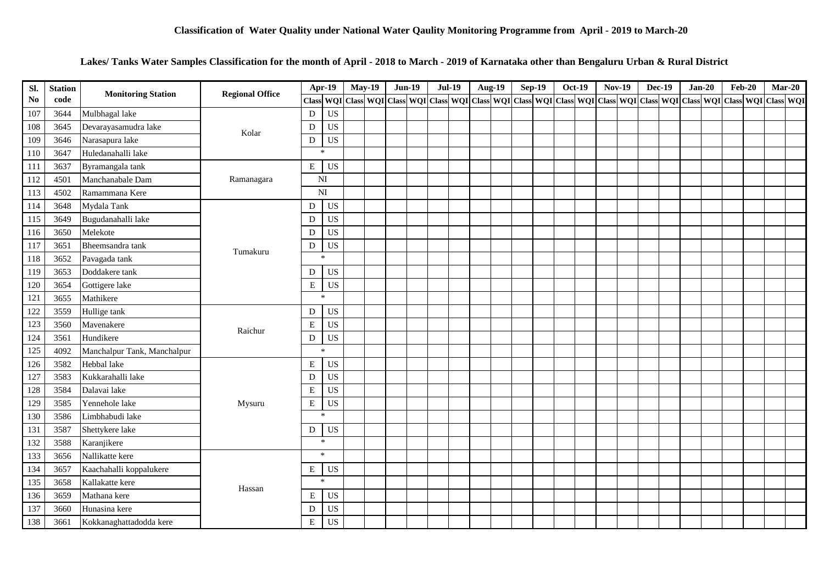### **Lakes/ Tanks Water Samples Classification for the month of April - 2018 to March - 2019 of Karnataka other than Bengaluru Urban & Rural District**

| Sl. | <b>Station</b> | <b>Monitoring Station</b>   | <b>Regional Office</b>             |                | Apr-19              | <b>May-19</b> |                 | <b>Jun-19</b> | <b>Jul-19</b> | Aug-19 |  | <b>Sep-19</b> | Oct-19 | <b>Nov-19</b> | <b>Dec-19</b> | $Jan-20$ | <b>Feb-20</b> | $Mar-20$                                                                                                                          |  |
|-----|----------------|-----------------------------|------------------------------------|----------------|---------------------|---------------|-----------------|---------------|---------------|--------|--|---------------|--------|---------------|---------------|----------|---------------|-----------------------------------------------------------------------------------------------------------------------------------|--|
| No  | code           |                             |                                    | <b>Class</b>   | WQI                 |               | Class WQI Class |               |               |        |  |               |        |               |               |          |               | WQI   Class   WQI   Class   WQI   Class   WQI   Class   WQI   Class   WQI   Class   WQI   Class   WQI   Class   WQI   Class   WQI |  |
| 107 | 3644           | Mulbhagal lake              |                                    | D              | <b>US</b>           |               |                 |               |               |        |  |               |        |               |               |          |               |                                                                                                                                   |  |
| 108 | 3645           | Devarayasamudra lake        | Kolar                              | D              | <b>US</b>           |               |                 |               |               |        |  |               |        |               |               |          |               |                                                                                                                                   |  |
| 109 | 3646           | Narasapura lake             |                                    | D              | <b>US</b>           |               |                 |               |               |        |  |               |        |               |               |          |               |                                                                                                                                   |  |
| 110 | 3647           | Huledanahalli lake          |                                    |                | $*$                 |               |                 |               |               |        |  |               |        |               |               |          |               |                                                                                                                                   |  |
| 111 | 3637           | Byramangala tank            |                                    | E              | <b>US</b>           |               |                 |               |               |        |  |               |        |               |               |          |               |                                                                                                                                   |  |
| 112 | 4501           | Manchanabale Dam            | Ramanagara                         | NI             |                     |               |                 |               |               |        |  |               |        |               |               |          |               |                                                                                                                                   |  |
| 113 | 4502           | Ramammana Kere              |                                    | N <sub>I</sub> |                     |               |                 |               |               |        |  |               |        |               |               |          |               |                                                                                                                                   |  |
| 114 | 3648           | Mydala Tank                 |                                    | D              | US                  |               |                 |               |               |        |  |               |        |               |               |          |               |                                                                                                                                   |  |
| 115 | 3649           | Bugudanahalli lake          |                                    | D              | <b>US</b>           |               |                 |               |               |        |  |               |        |               |               |          |               |                                                                                                                                   |  |
| 116 | 3650           | Melekote                    |                                    | D              | <b>US</b>           |               |                 |               |               |        |  |               |        |               |               |          |               |                                                                                                                                   |  |
| 117 | 3651           | Bheemsandra tank            | D<br>Tumakuru<br>$\mathbf{x}$<br>D | <b>US</b>      |                     |               |                 |               |               |        |  |               |        |               |               |          |               |                                                                                                                                   |  |
| 118 | 3652           | Pavagada tank               |                                    |                |                     |               |                 |               |               |        |  |               |        |               |               |          |               |                                                                                                                                   |  |
| 119 | 3653           | Doddakere tank              |                                    | <b>US</b>      |                     |               |                 |               |               |        |  |               |        |               |               |          |               |                                                                                                                                   |  |
| 120 | 3654           | Gottigere lake              |                                    | ${\bf E}$      | US                  |               |                 |               |               |        |  |               |        |               |               |          |               |                                                                                                                                   |  |
| 121 | 3655           | Mathikere                   |                                    |                | $\boldsymbol{\ast}$ |               |                 |               |               |        |  |               |        |               |               |          |               |                                                                                                                                   |  |
| 122 | 3559           | Hullige tank                |                                    | D              | <b>US</b>           |               |                 |               |               |        |  |               |        |               |               |          |               |                                                                                                                                   |  |
| 123 | 3560           | Mavenakere                  | Raichur                            | ${\bf E}$      | <b>US</b>           |               |                 |               |               |        |  |               |        |               |               |          |               |                                                                                                                                   |  |
| 124 | 3561           | Hundikere                   |                                    | ${\rm D}$      | <b>US</b>           |               |                 |               |               |        |  |               |        |               |               |          |               |                                                                                                                                   |  |
| 125 | 4092           | Manchalpur Tank, Manchalpur |                                    |                | $\ast$              |               |                 |               |               |        |  |               |        |               |               |          |               |                                                                                                                                   |  |
| 126 | 3582           | Hebbal lake                 |                                    | $\,$ E         | <b>US</b>           |               |                 |               |               |        |  |               |        |               |               |          |               |                                                                                                                                   |  |
| 127 | 3583           | Kukkarahalli lake           |                                    | ${\bf D}$      | <b>US</b>           |               |                 |               |               |        |  |               |        |               |               |          |               |                                                                                                                                   |  |
| 128 | 3584           | Dalavai lake                |                                    | $\bf E$        | <b>US</b>           |               |                 |               |               |        |  |               |        |               |               |          |               |                                                                                                                                   |  |
| 129 | 3585           | Yennehole lake              | Mysuru                             | ${\bf E}$      | <b>US</b>           |               |                 |               |               |        |  |               |        |               |               |          |               |                                                                                                                                   |  |
| 130 | 3586           | Limbhabudi lake             |                                    |                | $\star$             |               |                 |               |               |        |  |               |        |               |               |          |               |                                                                                                                                   |  |
| 131 | 3587           | Shettykere lake             |                                    | D              | US                  |               |                 |               |               |        |  |               |        |               |               |          |               |                                                                                                                                   |  |
| 132 | 3588           | Karanjikere                 |                                    |                | 宋                   |               |                 |               |               |        |  |               |        |               |               |          |               |                                                                                                                                   |  |
| 133 | 3656           | Nallikatte kere             |                                    |                | $\ast$              |               |                 |               |               |        |  |               |        |               |               |          |               |                                                                                                                                   |  |
| 134 | 3657           | Kaachahalli koppalukere     |                                    | E              | US                  |               |                 |               |               |        |  |               |        |               |               |          |               |                                                                                                                                   |  |
| 135 | 3658           | Kallakatte kere             | Hassan                             |                | $\ast$              |               |                 |               |               |        |  |               |        |               |               |          |               |                                                                                                                                   |  |
| 136 | 3659           | Mathana kere                |                                    | E              | <b>US</b>           |               |                 |               |               |        |  |               |        |               |               |          |               |                                                                                                                                   |  |
| 137 | 3660           | Hunasina kere               |                                    | D              | <b>US</b>           |               |                 |               |               |        |  |               |        |               |               |          |               |                                                                                                                                   |  |
| 138 | 3661           | Kokkanaghattadodda kere     |                                    | ${\bf E}$      | <b>US</b>           |               |                 |               |               |        |  |               |        |               |               |          |               |                                                                                                                                   |  |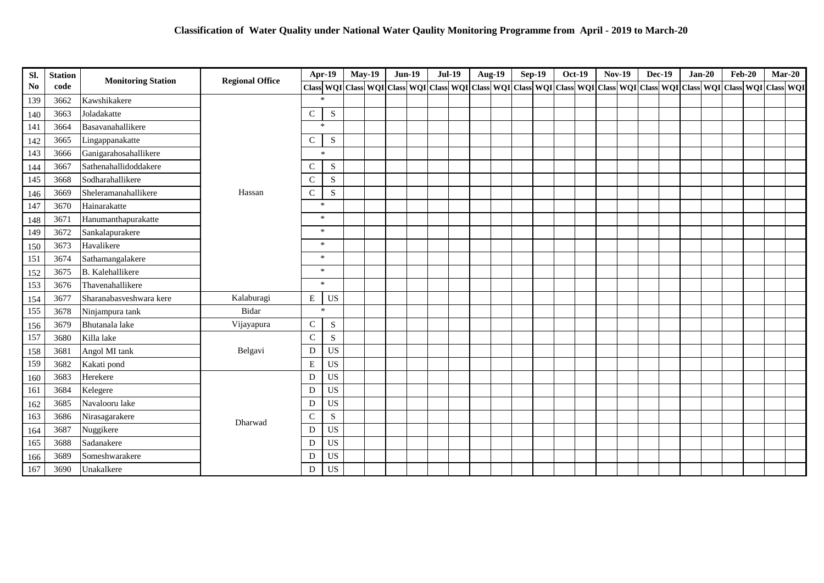| SI.            | <b>Station</b> | <b>Monitoring Station</b> | <b>Regional Office</b> |               | Apr-19    | <b>May-19</b>                                                                                                                                                                                                                 | <b>Jun-19</b> | <b>Jul-19</b> |  | Aug-19 | <b>Sep-19</b> | Oct-19 | <b>Nov-19</b> | <b>Dec-19</b> | $Jan-20$ | <b>Feb-20</b> | $Mar-20$ |  |
|----------------|----------------|---------------------------|------------------------|---------------|-----------|-------------------------------------------------------------------------------------------------------------------------------------------------------------------------------------------------------------------------------|---------------|---------------|--|--------|---------------|--------|---------------|---------------|----------|---------------|----------|--|
| N <sub>0</sub> | code           |                           |                        |               |           | Class   WQI   Class   WQI   Class   WQI   Class   WQI   Class   WQI   Class   WQI   Class   WQI   Class   WQI   Class   WQI   Class   WQI   Class   WQI   Class   WQI   Class   WQI   Class   WQI   Class   WQI   Class   WQI |               |               |  |        |               |        |               |               |          |               |          |  |
| 139            | 3662           | Kawshikakere              |                        |               | $\ast$    |                                                                                                                                                                                                                               |               |               |  |        |               |        |               |               |          |               |          |  |
| 140            | 3663           | Joladakatte               |                        | $\mathbf C$   | S         |                                                                                                                                                                                                                               |               |               |  |        |               |        |               |               |          |               |          |  |
| 141            | 3664           | Basavanahallikere         |                        |               | $\star$   |                                                                                                                                                                                                                               |               |               |  |        |               |        |               |               |          |               |          |  |
| 142            | 3665           | Lingappanakatte           |                        | ${\bf C}$     | ${\bf S}$ |                                                                                                                                                                                                                               |               |               |  |        |               |        |               |               |          |               |          |  |
| 143            | 3666           | Ganigarahosahallikere     |                        |               | $\ast$    |                                                                                                                                                                                                                               |               |               |  |        |               |        |               |               |          |               |          |  |
| 144            | 3667           | Sathenahallidoddakere     |                        | $\mathsf{C}$  | S         |                                                                                                                                                                                                                               |               |               |  |        |               |        |               |               |          |               |          |  |
| 145            | 3668           | Sodharahallikere          |                        | $\mathsf{C}$  | S         |                                                                                                                                                                                                                               |               |               |  |        |               |        |               |               |          |               |          |  |
| 146            | 3669           | Sheleramanahallikere      | Hassan                 | $\mathsf C$   | S         |                                                                                                                                                                                                                               |               |               |  |        |               |        |               |               |          |               |          |  |
| 147            | 3670           | Hainarakatte              |                        |               | $*$       |                                                                                                                                                                                                                               |               |               |  |        |               |        |               |               |          |               |          |  |
| 148            | 3671           | Hanumanthapurakatte       |                        |               | $\ast$    |                                                                                                                                                                                                                               |               |               |  |        |               |        |               |               |          |               |          |  |
| 149            | 3672           | Sankalapurakere           |                        |               | $\ast$    |                                                                                                                                                                                                                               |               |               |  |        |               |        |               |               |          |               |          |  |
| 150            | 3673           | Havalikere                |                        |               | $\ast$    |                                                                                                                                                                                                                               |               |               |  |        |               |        |               |               |          |               |          |  |
| 151            | 3674           | Sathamangalakere          |                        |               | $\ast$    |                                                                                                                                                                                                                               |               |               |  |        |               |        |               |               |          |               |          |  |
| 152            | 3675           | <b>B.</b> Kalehallikere   |                        |               | $\sim$    |                                                                                                                                                                                                                               |               |               |  |        |               |        |               |               |          |               |          |  |
| 153            | 3676           | Thavenahallikere          |                        |               | $\ast$    |                                                                                                                                                                                                                               |               |               |  |        |               |        |               |               |          |               |          |  |
| 154            | 3677           | Sharanabasveshwara kere   | Kalaburagi             | $\mathbf E$   | US        |                                                                                                                                                                                                                               |               |               |  |        |               |        |               |               |          |               |          |  |
| 155            | 3678           | Ninjampura tank           | Bidar                  |               | $\ast$    |                                                                                                                                                                                                                               |               |               |  |        |               |        |               |               |          |               |          |  |
| 156            | 3679           | Bhutanala lake            | Vijayapura             | ${\bf C}$     | ${\bf S}$ |                                                                                                                                                                                                                               |               |               |  |        |               |        |               |               |          |               |          |  |
| 157            | 3680           | Killa lake                |                        | $\mathbf C$   | S         |                                                                                                                                                                                                                               |               |               |  |        |               |        |               |               |          |               |          |  |
| 158            | 3681           | Angol MI tank             | Belgavi                | ${\rm D}$     | <b>US</b> |                                                                                                                                                                                                                               |               |               |  |        |               |        |               |               |          |               |          |  |
| 159            | 3682           | Kakati pond               |                        | E             | <b>US</b> |                                                                                                                                                                                                                               |               |               |  |        |               |        |               |               |          |               |          |  |
| 160            | 3683           | Herekere                  |                        | D             | <b>US</b> |                                                                                                                                                                                                                               |               |               |  |        |               |        |               |               |          |               |          |  |
| 161            | 3684           | Kelegere                  |                        | D             | <b>US</b> |                                                                                                                                                                                                                               |               |               |  |        |               |        |               |               |          |               |          |  |
| 162            | 3685           | Navalooru lake            |                        | D             | <b>US</b> |                                                                                                                                                                                                                               |               |               |  |        |               |        |               |               |          |               |          |  |
| 163            | 3686           | Nirasagarakere            | Dharwad                | $\mathcal{C}$ | S         |                                                                                                                                                                                                                               |               |               |  |        |               |        |               |               |          |               |          |  |
| 164            | 3687           | Nuggikere                 |                        | D             | <b>US</b> |                                                                                                                                                                                                                               |               |               |  |        |               |        |               |               |          |               |          |  |
| 165            | 3688           | Sadanakere                |                        | D             | <b>US</b> |                                                                                                                                                                                                                               |               |               |  |        |               |        |               |               |          |               |          |  |
| 166            | 3689           | Someshwarakere            |                        | D             | <b>US</b> |                                                                                                                                                                                                                               |               |               |  |        |               |        |               |               |          |               |          |  |
| 167            | 3690           | Unakalkere                |                        | D             | <b>US</b> |                                                                                                                                                                                                                               |               |               |  |        |               |        |               |               |          |               |          |  |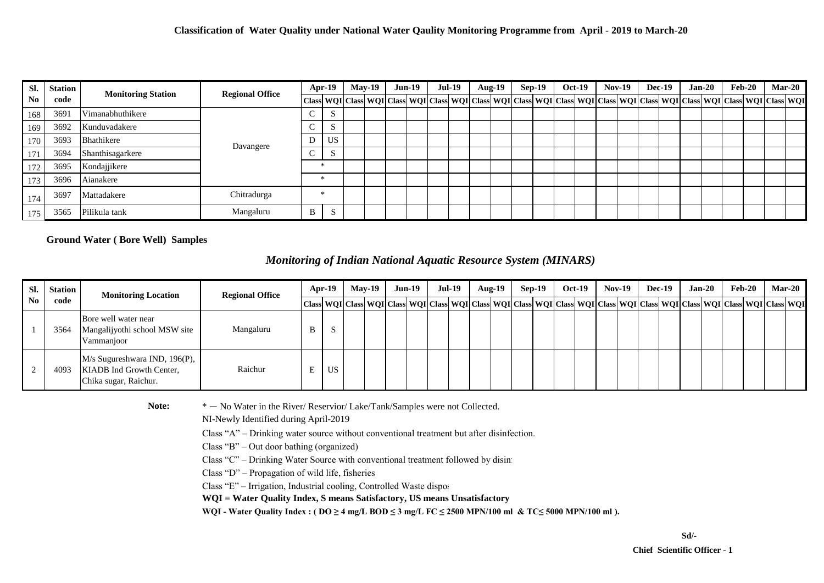| SI. | <b>Station</b> |                           | <b>Regional Office</b> | Apr-19 |           | $Mav-19$ |  | $Jun-19$ |  | $Jul-19$ |  | <b>Aug-19</b> |  | $Sep-19$ |  | <b>Oct-19</b>                                                                                                                                                                                                                |  | $Nov-19$ |  | <b>Dec-19</b> |  | $Jan-20$ |  | Feb-20 |  | <b>Mar-20</b> |  |
|-----|----------------|---------------------------|------------------------|--------|-----------|----------|--|----------|--|----------|--|---------------|--|----------|--|------------------------------------------------------------------------------------------------------------------------------------------------------------------------------------------------------------------------------|--|----------|--|---------------|--|----------|--|--------|--|---------------|--|
| No. | code           | <b>Monitoring Station</b> |                        |        |           |          |  |          |  |          |  |               |  |          |  | Class   WQI   Class   WQI   Class   WQI   Class   WQI   Class   WQI   Class   WQI   Class   WQI   Class   WQI   Class   WQI   Class   WQI   Class   WQI   Class   WQI   Class   WQI   Class   WQI   Class   WQI   Class   WQ |  |          |  |               |  |          |  |        |  |               |  |
| 168 | 3691           | Vimanabhuthikere          | Davangere              |        | د.        |          |  |          |  |          |  |               |  |          |  |                                                                                                                                                                                                                              |  |          |  |               |  |          |  |        |  |               |  |
| 169 | 3692           | Kunduvadakere             |                        |        | $\sim$    |          |  |          |  |          |  |               |  |          |  |                                                                                                                                                                                                                              |  |          |  |               |  |          |  |        |  |               |  |
| 170 | 3693           | Bhathikere                |                        |        | <b>US</b> |          |  |          |  |          |  |               |  |          |  |                                                                                                                                                                                                                              |  |          |  |               |  |          |  |        |  |               |  |
| 171 | 3694           | Shanthisagarkere          |                        |        |           |          |  |          |  |          |  |               |  |          |  |                                                                                                                                                                                                                              |  |          |  |               |  |          |  |        |  |               |  |
| 172 | 3695           | Kondajjikere              |                        |        | 米         |          |  |          |  |          |  |               |  |          |  |                                                                                                                                                                                                                              |  |          |  |               |  |          |  |        |  |               |  |
| 173 | 3696           | Aianakere                 |                        |        |           |          |  |          |  |          |  |               |  |          |  |                                                                                                                                                                                                                              |  |          |  |               |  |          |  |        |  |               |  |
| 174 | 3697           | Mattadakere               | Chitradurga            |        |           |          |  |          |  |          |  |               |  |          |  |                                                                                                                                                                                                                              |  |          |  |               |  |          |  |        |  |               |  |
| 175 | 3565           | Pilikula tank             | Mangaluru              | B      | - N       |          |  |          |  |          |  |               |  |          |  |                                                                                                                                                                                                                              |  |          |  |               |  |          |  |        |  |               |  |

### **Ground Water ( Bore Well) Samples**

### *Monitoring of Indian National Aquatic Resource System (MINARS)*

| SI. | <b>Station</b><br>code | <b>Monitoring Location</b>                                                         | <b>Regional Office</b> | $Apr-19$ |    | $Mav-19$                                                                                                                                                                                                                   |  | $Jun-19$ |  | Jul-19 |  | <b>Aug-19</b> |  | $Sep-19$ |  | <b>Oct-19</b> |  | $Nov-19$ |  | $Dec-19$ |  | $Jan-20$ |  | $Feb-20$ |  | <b>Mar-20</b> |  |
|-----|------------------------|------------------------------------------------------------------------------------|------------------------|----------|----|----------------------------------------------------------------------------------------------------------------------------------------------------------------------------------------------------------------------------|--|----------|--|--------|--|---------------|--|----------|--|---------------|--|----------|--|----------|--|----------|--|----------|--|---------------|--|
|     |                        |                                                                                    |                        |          |    | Class  WQI   Class  WQI   Class  WQI   Class  WQI   Class  WQI   Class  WQI   Class  WQI   Class  WQI   Class  WQI   Class  WQI   Class  WQI   Class  WQI   Class  WQI   Class  WQI   Class  WQI   Class  WQI   Class  WQI |  |          |  |        |  |               |  |          |  |               |  |          |  |          |  |          |  |          |  |               |  |
|     | 3564                   | Bore well water near<br>Mangalijyothi school MSW site<br>Vammanjoor                | Mangaluru              | B        |    |                                                                                                                                                                                                                            |  |          |  |        |  |               |  |          |  |               |  |          |  |          |  |          |  |          |  |               |  |
|     | 4093                   | M/s Sugureshwara IND, 196(P),<br>KIADB Ind Growth Center,<br>Chika sugar, Raichur. | Raichur                | Ľ.       | US |                                                                                                                                                                                                                            |  |          |  |        |  |               |  |          |  |               |  |          |  |          |  |          |  |          |  |               |  |

Note:  $* - N_0$  Water in the River/ Reservior/ Lake/Tank/Samples were not Collected.

NI-Newly Identified during April-2019

Class "A" – Drinking water source without conventional treatment but after disinfection.

Class "B" – Out door bathing (organized)

Class "C" – Drinking Water Source with conventional treatment followed by disinf

Class "D" – Propagation of wild life, fisheries

Class "E" – Irrigation, Industrial cooling, Controlled Waste disposed

**WQI = Water Quality Index, S means Satisfactory, US means Unsatisfactory**

WQI - Water Quality Index : ( $DO ≥ 4$  mg/L BOD ≤ 3 mg/L FC ≤ 2500 MPN/100 ml & TC≤ 5000 MPN/100 ml).